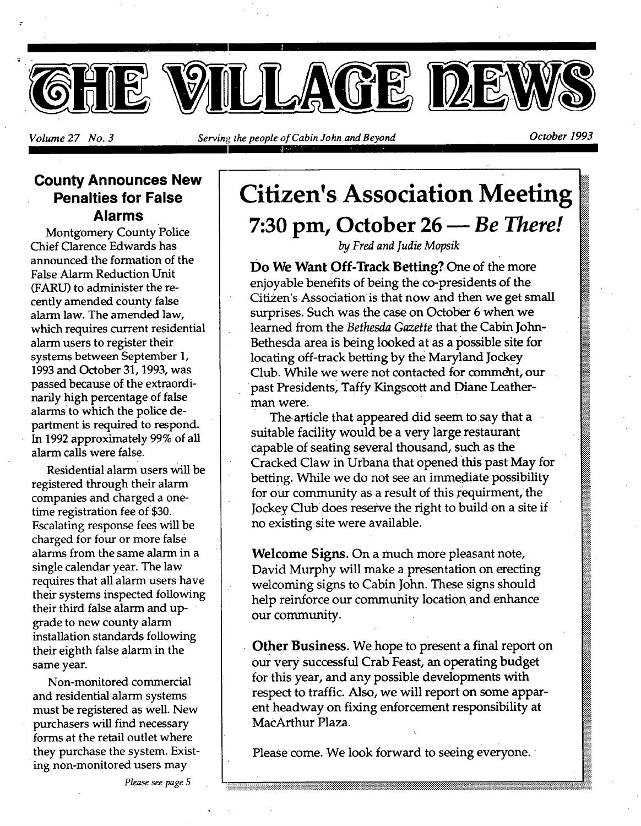

*Volume 27 No. 3* Serving the people of Cabin John and Beyond October 1993

### **County Announces New Penalties for False Alarms**

Montgomery County Police Chief Clarence Edwards has announced the formation of the False Alarm Reduction Unit (FARU) to administer the recently amended county false alarm law. The amended law, which requires current residential alarm users to register their systems between September 1, 1993 and October 31, 1993, was passed because of the extraordinarily high percentage of false alarms to which the police department is required to respond. In 1992 approximately 99% of all alarm calls were false.

Residential alarm users will be registered through their alarm companies and charged a onetime registration fee of \$30. Escalating response fees will be charged for four or more false alarms from the same alarm in a single calendar year. The law requires that all alarm users have their systems inspected following their third false alarm and upgrade to new county alarm installation standards following their eighth false alarm in the same year.

Non-monitored commercial and residential alarm systems must be registered as well. New purchasers will find necessary forms at the retail outlet where • they purchase the system. Existing non-monitored users may

# **Citizen's Association Meeting 7:30 pm, October 26** *Be There!*

*by Fred and Judie Mopsik* 

**Do We Want Off-Track Betting?** One of the more enjoyable benefits of being the co-presidents of the Citizen's Association is that now and then we get small surprises. Such was the case on October 6 when we learned from the *Bethesda Gazette* that the Cabin John-Bethesda area is being looked at as a possible site for locating off-track betting by the Maryland Jockey Club. While we were not contacted for comme\_ht, our past Presidents, Taffy Kingscott and Diane Leatherman were.

The article that appeared did seem to say that a suitable facility would be a very large restaurant capable of seating several thousand, such as the CraCked Claw in Urbana that opened this past May for betting. While we do not see an immediate possibility for our community as a result of this requirment, the Jockey Club does reserve the fight to build on a site if no existing site were available.

**Welcome** Signs. On a much more pleasant note, David Murphy will make a presentation on erecting welcoming signs to Cabin John. These signs should help reinforce our community location and enhance our community.

Other Business. We hope to present a final report on our Very successful Crab Feast, an operating budget for this year, and any possible developments with respect to traffic. Also, we will report on some apparent headway on fixing enforcement responsibility at MacArthur Plaza.

 $\overline{\phantom{0}}$ 

Please come. We look forward to seeing everyone.

*Please see page 5*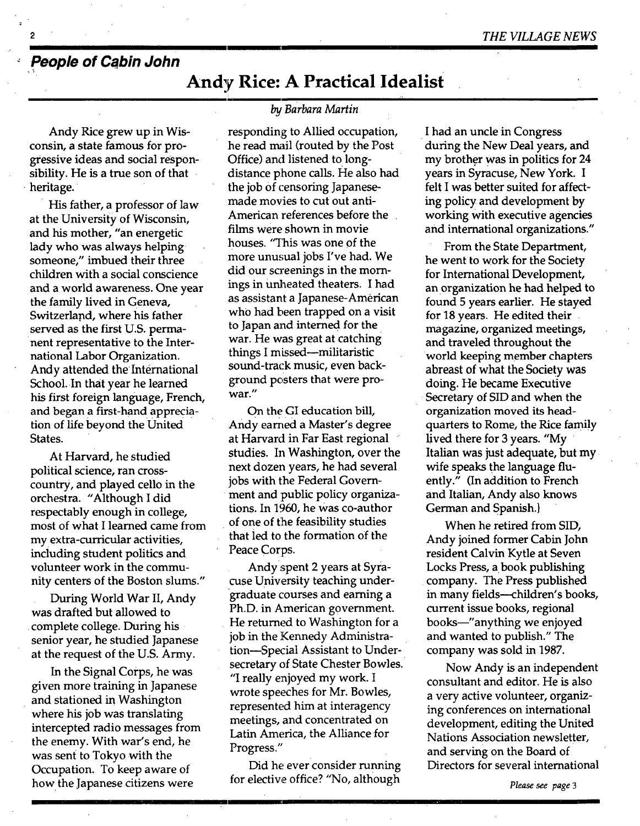### **People of Cabin John**

### **Andy Rice: A Practical Idealist**

Andy Rice grew up in Wisconsin, a state famous for progressive ideas and social responsibility. He is a true son of that heritage.

His father, a professor of law at the University of Wisconsin, and his mother, "an energetic lady who was always helping someone," imbued their three children with a social conscience and a world awareness. One year the family lived in Geneva, Switzerland, where his father served as the first U.S. permanent representative to the International Labor Organization. Andy attended the International School. In that year he learned his first foreign language, French, and began a first-hand appreciation of life beyond the United States.

At Harvard, he studied political science, ran crosscountry, and played cello in the orchestra. "Although I did respectably enough in college, most of what I learned came from my. extra-curricular activities, including student politics and volunteer work in the community centers of the Boston slums."

During World War II, Andy was drafted but allowed to complete college. During his senior year, he studied Japanese at the request of the U.S. Army.

In the Signal Corps, he was given more training in Japanese and stationed in Washington where his job was translating intercepted radio messages from the enemy. With war's end, he was sent to Tokyo with the Occupation. To keep aware of how. the Japanese citizens were

#### *by Barbara Martin*

responding to Allied occupation, he read mail (routed by the Post Office) and listened to longdistance phone calls. He also had the job of censoring Japanesemade movies to cut out anti-American references before the films were shown in movie houses. "This was one of the more unusual jobs I've had. We did our screenings in the mornings in unheated theaters. I had as assistant a Japanese-American who had been trapped on a visit to Japan and interned for the war. He was great at catching things I missed--militaristic sound-track music, even background posters that were prowar."

On the GI education bill, Andy earned a Master's degree at Harvard in Far East regional studies. In Washington, over the next dozen years, he had several jobs with the Federal Government and public policy organizations. In 1960, he was co-author of one of the feasibility studies that led to the formation of the Peace Corps.

Andyspent 2 years at Syracuse University teaching undergraduate courses and earning a Ph.D. in American government. He returned to Washington for a job in the Kennedy Administration-Special Assistant to Undersecretary of State Chester Bowles. "I really enjoyed my work. I wrote speeches for Mr. Bowles, represented him at interagency meetings, and concentrated on Latin America, the Alliance for Progress."

Did he ever consider running for elective office? "No, although

*i* 

I had an uncle in Congress during the New Deal years, and my brother was in politics for 24 years in Syracuse, New York. I felt I was better suited for affecting policy and development by working with executive agencies and international organizations."

From the State Department, he went to work for the Society for International Development, an organization he had helped to found 5 years earlier. He stayed for 18 years. He edited their magazine, organized meetings, and traveled throughout the world keeping member chapters abreast of what the Society was doing. He became Executive Secretary of SID and when the organization moved its headquarters to Rome, the Rice family lived there for 3 years. "My Italian was just adequate, but my wife speaks the language fluently." (In addition to French and Italian, Andy also knows German and Spanish.}

When he retired from SID, Andy joined former Cabin John resident Calvin Kytle at Seven Locks Press, a book publishing company. The Press published in many fields--children's books, current issue books, regional books--"anything we enjoyed and wanted to publish." The company was sold in 1987.

Now Andy is an independent consultant and editor. He is also a very active volunteer, organizing conferences on international development, editing the United Nations Association newsletter, and serving on the Board of Directors for several international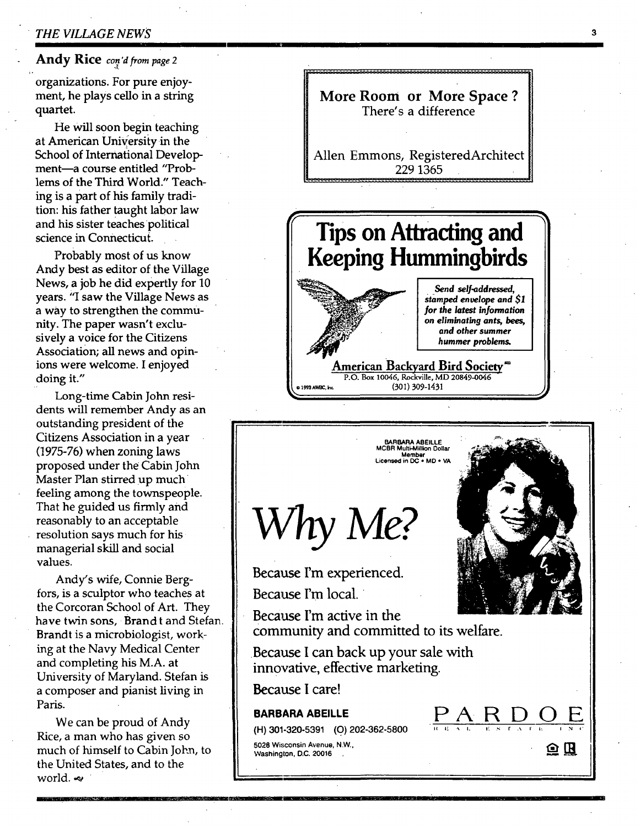#### *• THE VILLAGE NEWS a*

#### **Andy Rice** con'd from page 2

organizations. For pure enjoyment, he plays cello in a string quartet.

He will soon begin teaching at American University in the School of International Development-a course entitled "Problems of the Third World." Teaching is a part of his family tradition: his father taught labor law and his sister teaches political science in Connecticut.

Probably most of us know Andy best as editor of the Village News, a job he did expertly for 10 years. "I saw the Village News as a way to strengthen the community. The paper wasn't exclusively a voice for the Citizens Association; all news and opinions were welcome. I enjoyed doing it."

Long-time Cabin John residents will remember Andy as an outstanding president of the Citizens Association in a year (1975-76) when zoning laws proposed under the Cabin John Master Plan stirred up much feeling among the townspeople. That he guided us firmly and reasonably to an acceptable resolution says much for his managerial skill and social values.

Andy's wife, Connie Bergfors, is a sculptor who teaches at the Corcoran School of Art. They have twin sons, Brand t and Stefan. Brandt is a microbiologist, working at the Navy Medical Center and completing his M.A. at University of Maryland. Stefan is a composer and pianist living in Paris.

We can be proud of Andy Rice, a man who has given so much of himself to Cabin Jokn, to the United States, and to the world.  $\sim$ 

........................ **Tips on Attracting and • Keeping Hummingbirds**  Send self-addressed, stamped envelope and \$1 for the latest information *~"~¢' [ on eliminating ants, bees, ~Z~" I and other summer* **I hummer** *problems.* 

**More Room or More Space ?**  There's a difference

Allen Emmons, RegisteredArchitect 229 1365

**American Backyard Bird Society =**  P.O. Box 10046, Rockville, MD 20849-0046 or (301) 309-1431

BARBARA **AREILLE**  MCBR Multi-Minion Dollar **Member Licensed in** DC \* MD • VA



Because I'm experienced. Because I'm local.

Because I'm active in the Community and committed to its welfare.

Because I can back up your sale with innovative, effective marketing.

Because I care!

#### **BARBARA ABEILLE**

**(H) 301-320-5391** (0) 202-362-5800

5028 Wisconsin Avenue, N.W., **Washington,** D.C. 20016



<u>ARDO</u> E ALL ESTATE INC

 $\mathbf{\Omega} \times$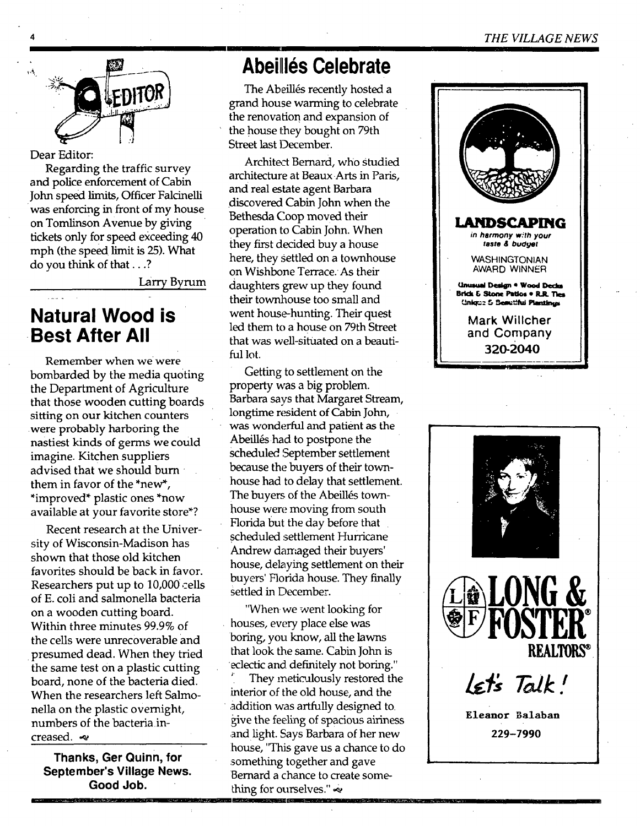

Dear Editor:

Regarding the traffic survey and police enforcement of Cabin John speed limits, Officer Falcinelli was enforcing in front of my house on Tomlinson Avenue by giving tickets only for speed exceeding 40 mph (the speed limit is 25). What do you think of that...?

Larry Byrum

### **Natural Wood is . Best After All**

Remember when we were bombarded by the media quoting the Department of Agriculture that those wooden cutting boards sitting on our kitchen counters were probably harboring the nastiest kinds of germs we could imagine. Kitchen suppliers advised that we should burn them in favor of the \*new\*, \*improved\* plastic ones \*now available at your favorite store\*?

Recent research at the University of Wisconsin-Madison has shown that those old kitchen favorites should be back in favor. Researchers put up to 10,000 cells of E. coli and salmonella bacteria on a wooden cutting board. Within three minutes 99.9% of the cells were unrecoverable and • presumed dead. When they tried the same test on a plastic cutting board, none of the bacteria died. When the researchers left Salmonella on the plastic overnight, numbers of the bacteriaincreased.  $\infty$ 

**Thanks, Ger Quinn, for September's Village News. Good Job.** 

### **Abeillés Celebrate**

The Abeillés recently hosted a grand house warming to celebrate the renovation and expansion of the house they bought on 79th Street last December.

Architect Bernard, who Studied architecture at Beaux Arts in Paris, and real estate agent Barbara discovered Cabin John when the Bethesda Coop moved their operation to Cabin John. When they first decided buy a house here, they settled on a townhouse on Wishbone Terrace:As their daughters grew up they found their townhouse too small and went house-hunting. Their quest led them to a house on 79th Street that was well-situated on a beautiful lot.

Getting to settlement on the property was a big problem. Barbara says that Margaret Stream, longtime resident of Cabin John, was wonderful and patient as the Abeillés had to postpone the Scheduled, September settlement because the buyers of their townhouse had to delay that settlement. The buyers of the Abeillés townhouse were moving from south Florida but the day before that scheduled settlement Hurricane Andrew damaged their buyers' house, delaying settlement on their buyers' Florida house. They finally settled in December.

"When we went looking for houses, every place else was boring, you know, all the lawns that look the same. Cabin John is eclectic and definitely not boring."

They meticulously restored the interior of the old house, and the • addition was artfully designed to. give the feeling of spacious airiness ,and light. Says Barbara of her new ihouse, "This gave us a chance to do something together and gave Bernard a chance to create something for ourselves." $\sim$ 



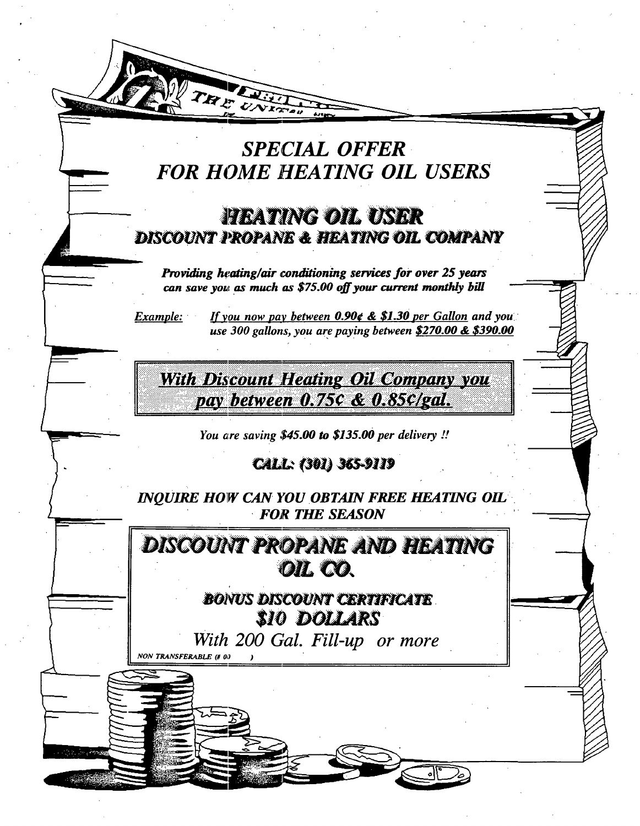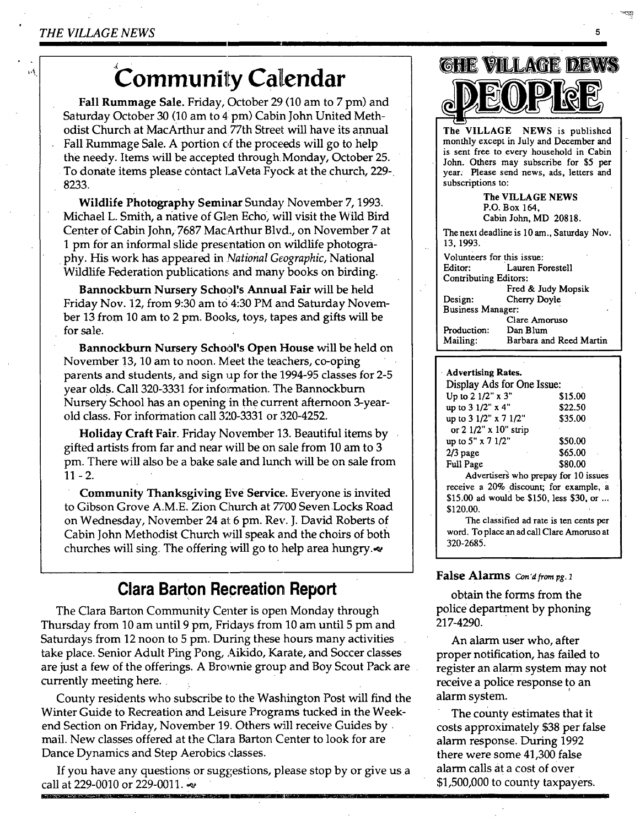r. š

# **Community Calendar**

**Fall Rummage Sale.** Friday, October 29 (10 am to 7 pm) and Saturday October 30 (10 am to 4 pm) Cabin John United Methodist Church at MacArthur and *77th* Street will have its annual Fall Rummage Sale. A portion of the proceeds will go to help the needy. Items will be accepted through Monday, October 25. To donate items please contact ]\_aVeta Fyock at the church, 229- 8233.

**Wildlife Photography Seminar** Sunday November 7, 1993. Michael L. Smith, a native of Glen Echo, will visit the Wild Bird Center of Cabin John, 7687 MacArthur Blvd., on November 7 at 1 pm for an informal slide presentation on wildlife photography. His work has appeared in *National Geographic,* National Wildlife Federation publications and many books on birding.

Bannockburn Nursery School's Annual Fair will be held Friday Nov. 12, from 9:30 am to 4:30 PM and Saturday November 13 from 10 am to 2 pm. Boolcs, toys, tapes and gifts will be for sale.

Bannockbuxn Nursery School's **Open House** will be held on November !3, 10 am to noon. Meet the teachers, co-oping parents and students, and sign up for the 1994-95 classes for 2-5 year olds. Call 320-3331 for information. The Bannockburn Nursery School has an opening in thecurrent afternoon 3-yearold class. For information call 320-3331 or 320-4252.

**Holiday Craft Fair.** Friday November 13. Beautiful items by gifted artists from far and near will be on sale from 10 am to 3 pm. There will also be a bake sale and lunch will be on sale from  $11 - 2.$ 

**Community** Thanksgiving Eve Service. Everyone is invited to Gibson Grove A.M.E. Zion Church at 77'00 Seven Locks Road on Wednesday, November 24 at 6 pm. Rev. J. David Roberts of Cabin John Methodist Church will speak and the choirs of both churches will sing. The offering will go to help area hungry.

### **Clara Barton Recreation Report**

The Clara Barton Community Center is open Monday through Thursday from 10 am until 9 pm, Fridays from 10 am until 5 pm and Saturdays from 12 noon to 5 pm. During these hours many activities take place. Senior Adult Ping Pong, Aikid0, Karate, and Soccer classes are just a few of the offerings. A Brownie group and Boy Scout Pack are currently meeting here.

County residents who subscribe to the Washington Post will find the Winter Guide to Recreation and Leisure Programs tucked in the Weekend Section on Friday, November 19. Others will receive Guides by. mail. New classes offered at the Clara Barton Center to look for are Dance Dynamics and Step Aerobics classes.

If you have any questions or suggestions, please stop by or give us a call at 229-0010 or 229-0011.  $\approx$ 



5.

**The** VILLAGE NEWS P.O. Box 164, Cabin John, MD 20818. The next deadline is 10 am., Saturday Nov. 13, 1993. Volunteers for this issue: Lauren Forestell Contributing Editors: **Fred & Judy** Mopsik Design: Cherry Doyle Business **Manager:** 

Clare Amoruso Production: Dan Blum Mailing: Barbara and Reed Martin

#### **. Advertising Rates.**

| Display Ads for One Issue: |         |
|----------------------------|---------|
| Up to 2 1/2" x 3"          | \$15.00 |
| up to 3 1/2" x 4"          | \$22.50 |
| up to 3 1/2" x 7 1/2"      | \$35.00 |
| or 2 1/2" x 10" strip      |         |
| up to 5" x 7 1/2"          | \$50.00 |
| $2/3$ page                 | \$65.00 |
| <b>Full Page</b>           | \$80.00 |
|                            |         |

Advertisers who prepay for 10 issues receive a 20% discount; for example, a \$15.00 ad would be \$150, less \$30, or ... \$120.00.

The classified ad rate is ten cents per **word.** To place an ad call Clare Amoruso **at**  320-2685.

#### **False Alarms** Con'd from pg. 1

obtain the forms from the police department by phoning 217-4290.

An alarm user who, after proper notification, has failed to register an alarm system may not receive a police response to an alarm system.

The county estimates that it costs approximately \$38 per false alarm response. During 1992 there were some 41,300 false alarm calls at a cost of over \$1,500,000 to county taxpayers.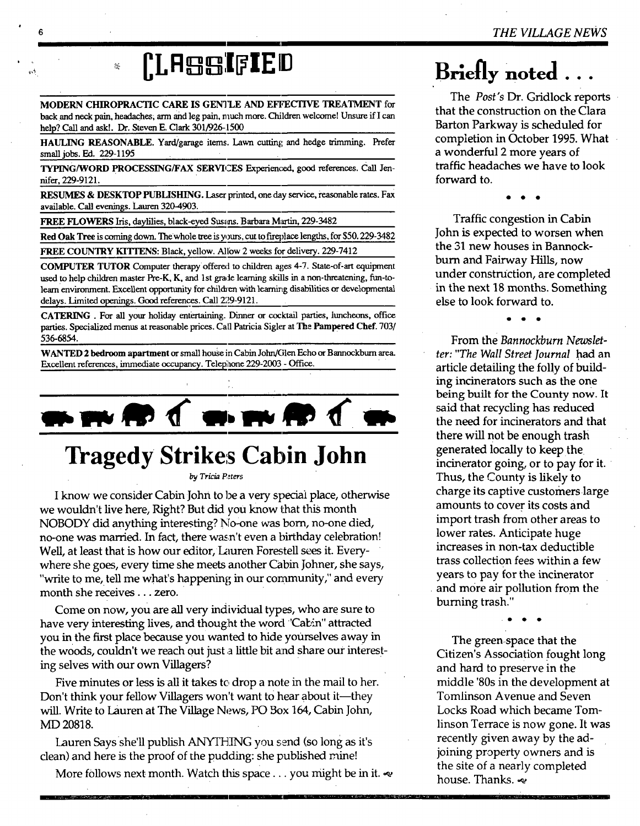# **CLA qB:I[ IEID**

J

MODERN CHIROPRACTIC CARE IS GENTLE AND EFFECTIVE TREATMENT for back and neck pain, headaches, arm and leg pain, much more. Children welcome! Unsure if I can help? Call and ask!. Dr. Steven E. Clark 301/926-1500

HAULING REASONABLE. Yard/garage items. Lawn cutting and hedge trimming. Prefer small jobs. Ed. 229-1195

TYPING/WORD PROCESSING/FAX SERVICES Experienced, good references. Call Jennifer, 229-9121.

RESUMES & DESKTOP PUBLISHING. Laser printed, one day service, reasonable rates. Fax available. Call evenings. Lauren 320-4903.

FREE FLOWERS Iris, daylilies, black-eyed Susans. Barbara Martin, 229-3482

**Red** Oak Tree is coming down. Thewhole tree is yours, cut to fireplace lengths, for \$50.229-3482

FREE COUNTRY KITTENS: Black, yellow. Allow 2 weeks for delivery. 229-7412

COMPUTER TUTOR Computer therapy offered to children ages 4-7. State-of-art equipment used to help children master Pre-K, K, and 1st grade learning skills in a non-threatening, fun-tolearn environment. Excellent opportunity for children with learning disabilities or developmental delays. Limited openings. Good references. Call 229-9121.

CATERING . For all your holiday enfertaining. Dinner or cocktail parties, lunchcom, office parties. Specialized menus at reasonable prices. Call Patricia Sigler at The Pampered Chef. 703/ 536-6854.

WANTED 2 bedroom apartment or small house in Cabin John/Glen Echo or Bannockburn area. Excellent references, immediate occupancy. Telephone 229-2003 - Office.



## **Tragedy Strikes Cabin John**

*by Tricia P~.ters* 

I know we consider Cabin John to be a very special place, otherwise we wouldn't live here, Right? But did you know that this month NOBODY did anything interesting? No-one was born, no-one died, no-one was married. In fact, there wasn't even a birthday celebration! Well, at least that is how our editor, Lauren Forestell sees it. Everywhere she goes, every time she meets another Cabin Johner, she says, "write to me, tell me what's happening in our community," and every month she receives.., zero.

Come on now, you are all very individual types, who are sure to have very interesting lives, and thought the word "Cabin" attracted you in the first place because you wanted to hide yourselves away in the woods, couldn't we reach out just a little bit and share our interesting selves with our own Villagers?

Five minutes or less is all it takes to drop a note in the mail to her. Don't think your fellow Villagers won't want to hear about it—they will. Write to Lauren at The Village News, PO Box 164, Cabin John, MD 20818.

Lauren Says she'll publish ANYTH]NG you send (so long as it's clean) and here is the proof of the pudding: she published mine!

More follows next month. Watch this space... you might be in it.  $\infty$ 

## $B$ riefly noted .

The *Post's* Dr. Gridlock reports that the construction on the Clara Barton Parkway is scheduled for completion in October 1995. What a wonderful 2 more years of traffic headaches we have to look forward to.

Traffic congestion in Cabin John is expected to worsen when the 31 new houses in Bannockburn and Fairway Hills, now under construction, are completed in the next 18 months. Something else to look forward to.

From the *Bannockburn Newsletter: "The Wall Street Journal* had an article detailing the folly of building incinerators such as the one being built for the County now. It said that recycling has reduced the need for incinerators and that there will not be enough trash generated locally to keep the incinerator going, or to pay for it. Thus, the County is likely to charge its captive customerslarge amounts to cover its costs and import trash from other areas to lower rates. Anticipate huge increases in non-tax deductible trass collection fees within a few years to pay for the incinerator and more air pollution from the burning trash."

The green.space that the Citizen's Association fought long and hard to preserve in the middle '80s in the development at Tomlinson Avenue and Seven Locks Road which became Tomlinson Terrace is now gone. It was recently given away by the adjoining property owners and is the site of a nearly completed house. Thanks.  $\approx$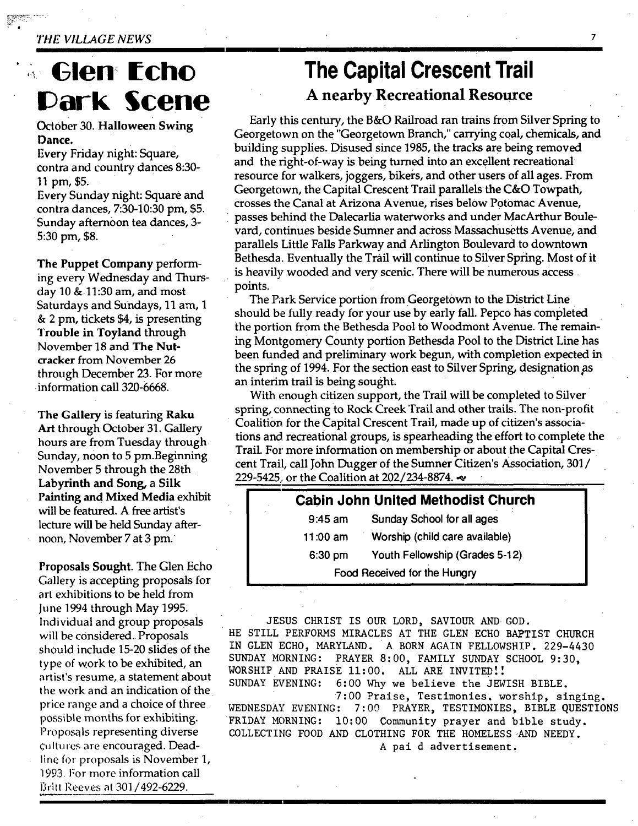#### *THE VILLAGE NEWS*

Ill

## **,, C len ¢ch¢ Park Scene**

#### October 30. **Halloween Swing Dance.**

Every Friday night: Square, contra and country dances 8:30- 11 **pm, \$5.** 

Every Sunday night: Square and contra dances, 7:30-10:30 pm, \$5. Sunday afternoon tea dances, 3- 5:30 pm, \$8.

**The** Puppet Company performing every Wednesday and Thursday 10 &11:30 am, and most Saturdays and Sundays, 11 am, 1 & 2 pm, tickets \$4, is presenting **Trouble in** Toyland through November 18 and The Nutcracker from November 26 through December 23. For more information call 320-6668.

**The** Gallery is featuring **Raku**  Art through October 31. Gallery hours are from Tuesday through Sunday, noon to 5 pm.Beginning November 5 through the 28th **Labyrinth and Song, a Silk**  Painting and **Mixed Media** exhibit will be featured. A free artist's lecture will be held Sunday afternoon, November 7 at 3 pm.

**Proposals** Sought. The Glen Echo Gallery is accepting proposals for art exhibitions to be held from June 1994 through May 1995: individual and group proposals **will** be considered. Proposals should include 15-20 slides of the type of work to be exhibited, an artist's resume, a statement about the work and an indication of the price range and a choice of three possible months for exhibiting. Proposals representing diverse cultures are encouraged. Deadline for proposals is November 1, 1993. For more information call B.itt Reeves at 301/492-6229.

### **The Capital Crescent Trail A nearby Recreational Resource**

 $\overline{7}$ 

Early this century, the B&O Railroad ran trains from Silver Spring to Georgetown on the "Georgetown Branch," carrying c0al, chemicals, and building supplies. Disused since 1985, the tracks are being removed and the right-of-way is being turned into an excellent recreational resource for walkers, joggers, bikers, and other users of all ages. From Georgetown, the Capital Crescent Trail parallels the C&O Towpath, crosses the Canal at Arizona Avenue, rises below Potomac Avenue, passes behind the Dalecarlia waterworks and under MacArthur Boulevard, continues beside Sumner and across Massachusetts Avenue, and parallels Little Falls Parkway and Arlington Boulevard to downtown Bethesda. Eventually the Trail will continue to Silver Spring. Most of it is heavily wooded and very scenic. There will be numerous access points.

The Park Service portion from Georgetown to the District Line should be fully ready for your use by early fall. Pepco has completed the portion from the Bethesda Pool to Woodmont Avenue. The remaining Montgomery County portion Bethesda Pool to the District Line has been funded and preliminary work begun, with completion expected in the spring of 1994. Eor the section east to Silver Spring, designationas an interim trail is being sought.

With enough citizen support, the Trail will be completed to Silver spring, connecting to Rock Creek Trail and other trails. The non-profit Coalition for the Capital Crescent Trail, made up of citizen's associations and recreational groups, is spearheading the effort to complete the Trail. For more information on membership or about the Capital Crescent Trail, call John Dugger of the Sumner Citizen's Association, 301 / 229-5425, or the Coalition at 202/234-8874.

| <b>Cabin John United Methodist Church</b> |                                |
|-------------------------------------------|--------------------------------|
| $9:45$ am                                 | Sunday School for all ages     |
| 11:00 $am$                                | Worship (child care available) |
| $6:30$ pm                                 | Youth Fellowship (Grades 5-12) |
|                                           | Food Received for the Hungry   |

JESUS CHRIST IS OUR LORD, SAVIOUR AND GOD. HE STILL PERFORMS MIRACLES AT THE GLEN ECHO BAPTIST CHURCH IN GLEN ECHO, MARYLAND. A BORN AGAIN FELLOWSHIP. 229-4430 SUNDAY MORNING: PRAYER 8:00, FAMILY SUNDAY SCHOOL 9:30, WORSHIP AND PRAISE 11:00. ALL ARE INVITED!! SUNDAY EVENING: 6:00 Why we believe the JEWISH BIBLE.

7:00 Praise, Testimonies. worship, singing. WEDNESDAY EVENING: 7:00 PRAYER, TESTIMONIES, BIBLE QUESTIONS FRIDAY MORNING: 10:00 Community prayer and bible study. COLLECTING FOOD AND CLOTHING FOR THE HOMELESS-AND NEEDY. A paid advertisement.